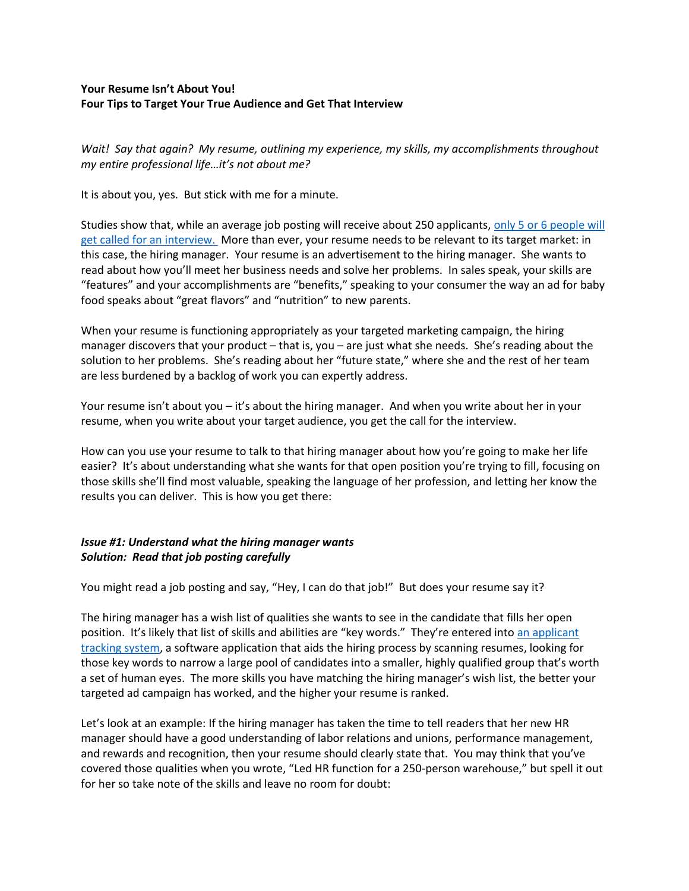### **Your Resume Isn't About You! Four Tips to Target Your True Audience and Get That Interview**

*Wait! Say that again? My resume, outlining my experience, my skills, my accomplishments throughout my entire professional life…it's not about me?*

It is about you, yes. But stick with me for a minute.

Studies show that, while an average job posting will receive about 250 applicants, [only 5 or 6 people will](https://careersidekick.com/interviews-per-job/)  [get called for an interview.](https://careersidekick.com/interviews-per-job/) More than ever, your resume needs to be relevant to its target market: in this case, the hiring manager. Your resume is an advertisement to the hiring manager. She wants to read about how you'll meet her business needs and solve her problems. In sales speak, your skills are "features" and your accomplishments are "benefits," speaking to your consumer the way an ad for baby food speaks about "great flavors" and "nutrition" to new parents.

When your resume is functioning appropriately as your targeted marketing campaign, the hiring manager discovers that your product – that is, you – are just what she needs. She's reading about the solution to her problems. She's reading about her "future state," where she and the rest of her team are less burdened by a backlog of work you can expertly address.

Your resume isn't about you – it's about the hiring manager. And when you write about her in your resume, when you write about your target audience, you get the call for the interview.

How can you use your resume to talk to that hiring manager about how you're going to make her life easier? It's about understanding what she wants for that open position you're trying to fill, focusing on those skills she'll find most valuable, speaking the language of her profession, and letting her know the results you can deliver. This is how you get there:

## *Issue #1: Understand what the hiring manager wants Solution: Read that job posting carefully*

You might read a job posting and say, "Hey, I can do that job!" But does your resume say it?

The hiring manager has a wish list of qualities she wants to see in the candidate that fills her open position. It's likely that list of skills and abilities are "key words." They're entered int[o an applicant](https://www.careermetis.com/ways-applicant-tracking-software-make-recruitment-easy/)  [tracking system,](https://www.careermetis.com/ways-applicant-tracking-software-make-recruitment-easy/) a software application that aids the hiring process by scanning resumes, looking for those key words to narrow a large pool of candidates into a smaller, highly qualified group that's worth a set of human eyes. The more skills you have matching the hiring manager's wish list, the better your targeted ad campaign has worked, and the higher your resume is ranked.

Let's look at an example: If the hiring manager has taken the time to tell readers that her new HR manager should have a good understanding of labor relations and unions, performance management, and rewards and recognition, then your resume should clearly state that. You may think that you've covered those qualities when you wrote, "Led HR function for a 250-person warehouse," but spell it out for her so take note of the skills and leave no room for doubt: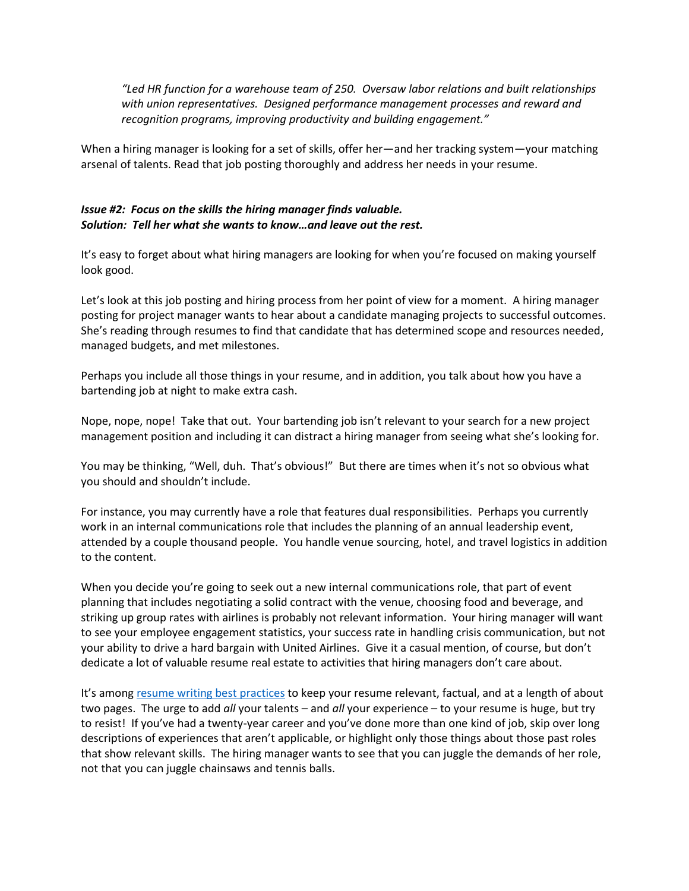*"Led HR function for a warehouse team of 250. Oversaw labor relations and built relationships with union representatives. Designed performance management processes and reward and recognition programs, improving productivity and building engagement."*

When a hiring manager is looking for a set of skills, offer her—and her tracking system—your matching arsenal of talents. Read that job posting thoroughly and address her needs in your resume.

### *Issue #2: Focus on the skills the hiring manager finds valuable. Solution: Tell her what she wants to know…and leave out the rest.*

It's easy to forget about what hiring managers are looking for when you're focused on making yourself look good.

Let's look at this job posting and hiring process from her point of view for a moment. A hiring manager posting for project manager wants to hear about a candidate managing projects to successful outcomes. She's reading through resumes to find that candidate that has determined scope and resources needed, managed budgets, and met milestones.

Perhaps you include all those things in your resume, and in addition, you talk about how you have a bartending job at night to make extra cash.

Nope, nope, nope! Take that out. Your bartending job isn't relevant to your search for a new project management position and including it can distract a hiring manager from seeing what she's looking for.

You may be thinking, "Well, duh. That's obvious!" But there are times when it's not so obvious what you should and shouldn't include.

For instance, you may currently have a role that features dual responsibilities. Perhaps you currently work in an internal communications role that includes the planning of an annual leadership event, attended by a couple thousand people. You handle venue sourcing, hotel, and travel logistics in addition to the content.

When you decide you're going to seek out a new internal communications role, that part of event planning that includes negotiating a solid contract with the venue, choosing food and beverage, and striking up group rates with airlines is probably not relevant information. Your hiring manager will want to see your employee engagement statistics, your success rate in handling crisis communication, but not your ability to drive a hard bargain with United Airlines. Give it a casual mention, of course, but don't dedicate a lot of valuable resume real estate to activities that hiring managers don't care about.

It's among [resume writing best practices](https://www.careermetis.com/myth-or-fact-6-resume-practices-that-affect-the-hiring-process/) to keep your resume relevant, factual, and at a length of about two pages. The urge to add *all* your talents – and *all* your experience – to your resume is huge, but try to resist! If you've had a twenty-year career and you've done more than one kind of job, skip over long descriptions of experiences that aren't applicable, or highlight only those things about those past roles that show relevant skills. The hiring manager wants to see that you can juggle the demands of her role, not that you can juggle chainsaws and tennis balls.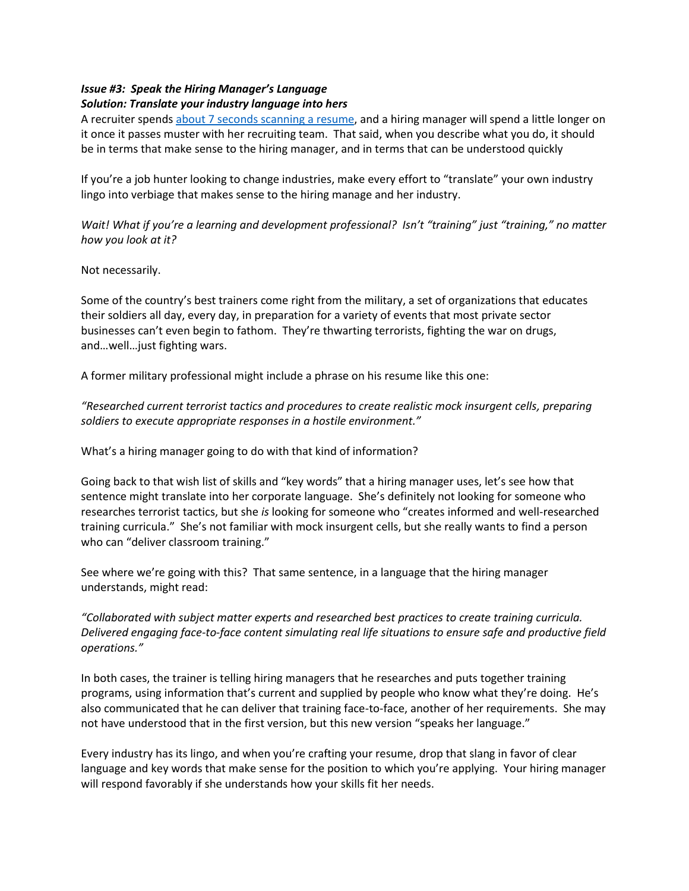# *Issue #3: Speak the Hiring Manager's Language*

### *Solution: Translate your industry language into hers*

A recruiter spends [about 7 seconds scanning a resume,](https://www.hrdive.com/news/eye-tracking-study-shows-recruiters-look-at-resumes-for-7-seconds/541582/) and a hiring manager will spend a little longer on it once it passes muster with her recruiting team. That said, when you describe what you do, it should be in terms that make sense to the hiring manager, and in terms that can be understood quickly

If you're a job hunter looking to change industries, make every effort to "translate" your own industry lingo into verbiage that makes sense to the hiring manage and her industry.

*Wait! What if you're a learning and development professional? Isn't "training" just "training," no matter how you look at it?* 

Not necessarily.

Some of the country's best trainers come right from the military, a set of organizations that educates their soldiers all day, every day, in preparation for a variety of events that most private sector businesses can't even begin to fathom. They're thwarting terrorists, fighting the war on drugs, and…well…just fighting wars.

A former military professional might include a phrase on his resume like this one:

*"Researched current terrorist tactics and procedures to create realistic mock insurgent cells, preparing soldiers to execute appropriate responses in a hostile environment."* 

What's a hiring manager going to do with that kind of information?

Going back to that wish list of skills and "key words" that a hiring manager uses, let's see how that sentence might translate into her corporate language. She's definitely not looking for someone who researches terrorist tactics, but she *is* looking for someone who "creates informed and well-researched training curricula." She's not familiar with mock insurgent cells, but she really wants to find a person who can "deliver classroom training."

See where we're going with this? That same sentence, in a language that the hiring manager understands, might read:

*"Collaborated with subject matter experts and researched best practices to create training curricula. Delivered engaging face-to-face content simulating real life situations to ensure safe and productive field operations."*

In both cases, the trainer is telling hiring managers that he researches and puts together training programs, using information that's current and supplied by people who know what they're doing. He's also communicated that he can deliver that training face-to-face, another of her requirements. She may not have understood that in the first version, but this new version "speaks her language."

Every industry has its lingo, and when you're crafting your resume, drop that slang in favor of clear language and key words that make sense for the position to which you're applying. Your hiring manager will respond favorably if she understands how your skills fit her needs.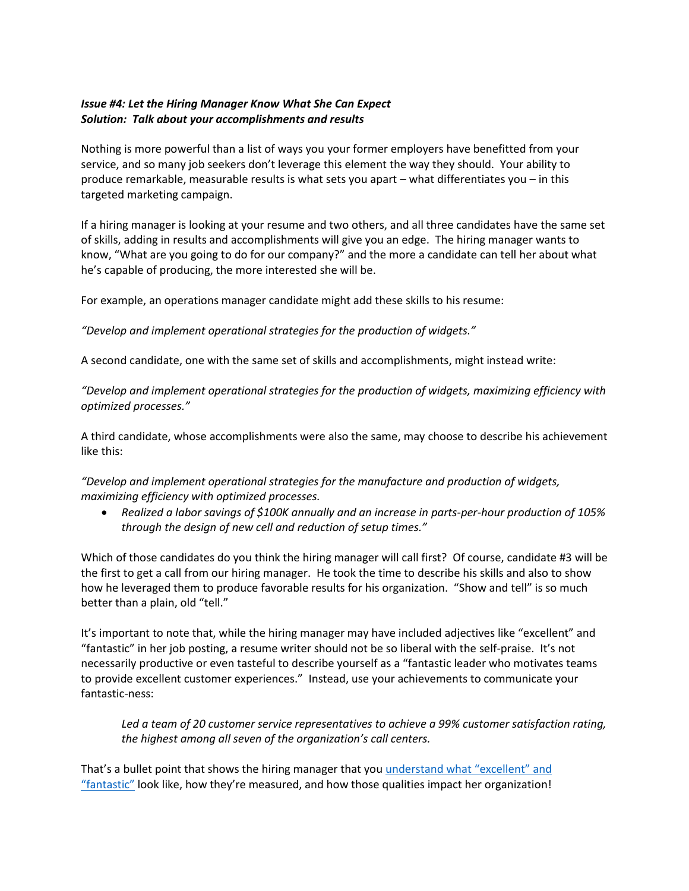### *Issue #4: Let the Hiring Manager Know What She Can Expect Solution: Talk about your accomplishments and results*

Nothing is more powerful than a list of ways you your former employers have benefitted from your service, and so many job seekers don't leverage this element the way they should. Your ability to produce remarkable, measurable results is what sets you apart – what differentiates you – in this targeted marketing campaign.

If a hiring manager is looking at your resume and two others, and all three candidates have the same set of skills, adding in results and accomplishments will give you an edge. The hiring manager wants to know, "What are you going to do for our company?" and the more a candidate can tell her about what he's capable of producing, the more interested she will be.

For example, an operations manager candidate might add these skills to his resume:

*"Develop and implement operational strategies for the production of widgets."*

A second candidate, one with the same set of skills and accomplishments, might instead write:

*"Develop and implement operational strategies for the production of widgets, maximizing efficiency with optimized processes."*

A third candidate, whose accomplishments were also the same, may choose to describe his achievement like this:

*"Develop and implement operational strategies for the manufacture and production of widgets, maximizing efficiency with optimized processes.*

• *Realized a labor savings of \$100K annually and an increase in parts-per-hour production of 105% through the design of new cell and reduction of setup times."*

Which of those candidates do you think the hiring manager will call first? Of course, candidate #3 will be the first to get a call from our hiring manager. He took the time to describe his skills and also to show how he leveraged them to produce favorable results for his organization. "Show and tell" is so much better than a plain, old "tell."

It's important to note that, while the hiring manager may have included adjectives like "excellent" and "fantastic" in her job posting, a resume writer should not be so liberal with the self-praise. It's not necessarily productive or even tasteful to describe yourself as a "fantastic leader who motivates teams to provide excellent customer experiences." Instead, use your achievements to communicate your fantastic-ness:

*Led a team of 20 customer service representatives to achieve a 99% customer satisfaction rating, the highest among all seven of the organization's call centers.*

That's a bullet point that shows the hiring manager that you [understand what](https://zety.com/blog/achievements-for-resume) "excellent" and ["fantastic"](https://zety.com/blog/achievements-for-resume) look like, how they're measured, and how those qualities impact her organization!